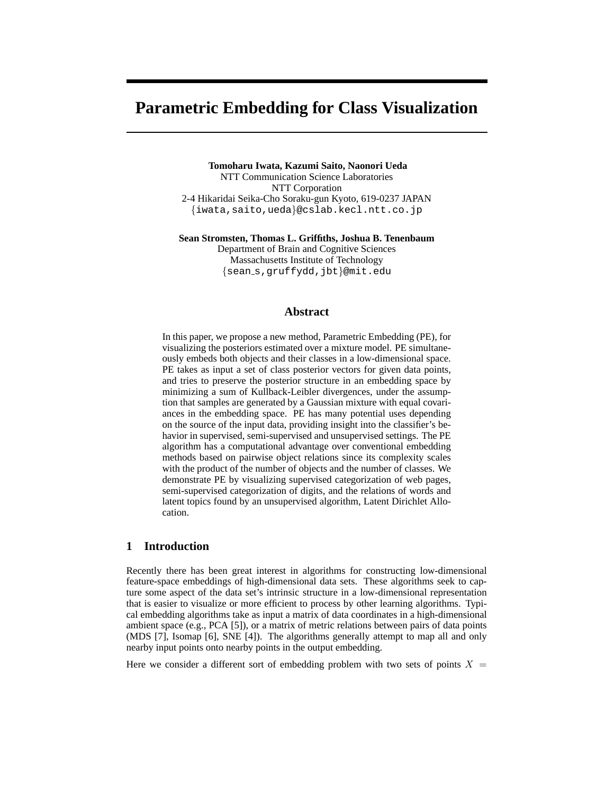# **Parametric Embedding for Class Visualization**

**Tomoharu Iwata, Kazumi Saito, Naonori Ueda** NTT Communication Science Laboratories NTT Corporation 2-4 Hikaridai Seika-Cho Soraku-gun Kyoto, 619-0237 JAPAN {iwata,saito,ueda}@cslab.kecl.ntt.co.jp

**Sean Stromsten, Thomas L. Griffiths, Joshua B. Tenenbaum**

Department of Brain and Cognitive Sciences Massachusetts Institute of Technology {sean s,gruffydd,jbt}@mit.edu

#### **Abstract**

In this paper, we propose a new method, Parametric Embedding (PE), for visualizing the posteriors estimated over a mixture model. PE simultaneously embeds both objects and their classes in a low-dimensional space. PE takes as input a set of class posterior vectors for given data points, and tries to preserve the posterior structure in an embedding space by minimizing a sum of Kullback-Leibler divergences, under the assumption that samples are generated by a Gaussian mixture with equal covariances in the embedding space. PE has many potential uses depending on the source of the input data, providing insight into the classifier's behavior in supervised, semi-supervised and unsupervised settings. The PE algorithm has a computational advantage over conventional embedding methods based on pairwise object relations since its complexity scales with the product of the number of objects and the number of classes. We demonstrate PE by visualizing supervised categorization of web pages, semi-supervised categorization of digits, and the relations of words and latent topics found by an unsupervised algorithm, Latent Dirichlet Allocation.

# **1 Introduction**

Recently there has been great interest in algorithms for constructing low-dimensional feature-space embeddings of high-dimensional data sets. These algorithms seek to capture some aspect of the data set's intrinsic structure in a low-dimensional representation that is easier to visualize or more efficient to process by other learning algorithms. Typical embedding algorithms take as input a matrix of data coordinates in a high-dimensional ambient space (e.g., PCA [5]), or a matrix of metric relations between pairs of data points (MDS [7], Isomap [6], SNE [4]). The algorithms generally attempt to map all and only nearby input points onto nearby points in the output embedding.

Here we consider a different sort of embedding problem with two sets of points  $X =$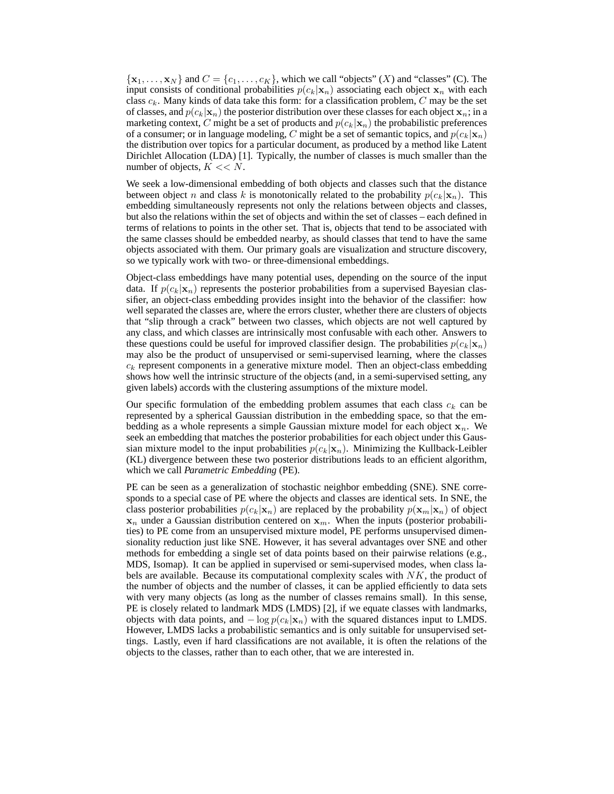$\{x_1, \ldots, x_N\}$  and  $C = \{c_1, \ldots, c_K\}$ , which we call "objects"  $(X)$  and "classes" (C). The input consists of conditional probabilities  $p(c_k|\mathbf{x}_n)$  associating each object  $\mathbf{x}_n$  with each class  $c_k$ . Many kinds of data take this form: for a classification problem, C may be the set of classes, and  $p(c_k|\mathbf{x}_n)$  the posterior distribution over these classes for each object  $\mathbf{x}_n$ ; in a marketing context, C might be a set of products and  $p(c_k|\mathbf{x}_n)$  the probabilistic preferences of a consumer; or in language modeling, C might be a set of semantic topics, and  $p(c_k|\mathbf{x}_n)$ the distribution over topics for a particular document, as produced by a method like Latent Dirichlet Allocation (LDA) [1]. Typically, the number of classes is much smaller than the number of objects,  $K \ll N$ .

We seek a low-dimensional embedding of both objects and classes such that the distance between object n and class k is monotonically related to the probability  $p(c_k|\mathbf{x}_n)$ . This embedding simultaneously represents not only the relations between objects and classes, but also the relations within the set of objects and within the set of classes – each defined in terms of relations to points in the other set. That is, objects that tend to be associated with the same classes should be embedded nearby, as should classes that tend to have the same objects associated with them. Our primary goals are visualization and structure discovery, so we typically work with two- or three-dimensional embeddings.

Object-class embeddings have many potential uses, depending on the source of the input data. If  $p(c_k|\mathbf{x}_n)$  represents the posterior probabilities from a supervised Bayesian classifier, an object-class embedding provides insight into the behavior of the classifier: how well separated the classes are, where the errors cluster, whether there are clusters of objects that "slip through a crack" between two classes, which objects are not well captured by any class, and which classes are intrinsically most confusable with each other. Answers to these questions could be useful for improved classifier design. The probabilities  $p(c_k|\mathbf{x}_n)$ may also be the product of unsupervised or semi-supervised learning, where the classes  $c_k$  represent components in a generative mixture model. Then an object-class embedding shows how well the intrinsic structure of the objects (and, in a semi-supervised setting, any given labels) accords with the clustering assumptions of the mixture model.

Our specific formulation of the embedding problem assumes that each class  $c_k$  can be represented by a spherical Gaussian distribution in the embedding space, so that the embedding as a whole represents a simple Gaussian mixture model for each object  $x_n$ . We seek an embedding that matches the posterior probabilities for each object under this Gaussian mixture model to the input probabilities  $p(c_k|\mathbf{x}_n)$ . Minimizing the Kullback-Leibler (KL) divergence between these two posterior distributions leads to an efficient algorithm, which we call *Parametric Embedding* (PE).

PE can be seen as a generalization of stochastic neighbor embedding (SNE). SNE corresponds to a special case of PE where the objects and classes are identical sets. In SNE, the class posterior probabilities  $p(c_k|\mathbf{x}_n)$  are replaced by the probability  $p(\mathbf{x}_m|\mathbf{x}_n)$  of object  $x_n$  under a Gaussian distribution centered on  $x_m$ . When the inputs (posterior probabilities) to PE come from an unsupervised mixture model, PE performs unsupervised dimensionality reduction just like SNE. However, it has several advantages over SNE and other methods for embedding a single set of data points based on their pairwise relations (e.g., MDS, Isomap). It can be applied in supervised or semi-supervised modes, when class labels are available. Because its computational complexity scales with  $NK$ , the product of the number of objects and the number of classes, it can be applied efficiently to data sets with very many objects (as long as the number of classes remains small). In this sense, PE is closely related to landmark MDS (LMDS) [2], if we equate classes with landmarks, objects with data points, and  $-\log p(c_k|\mathbf{x}_n)$  with the squared distances input to LMDS. However, LMDS lacks a probabilistic semantics and is only suitable for unsupervised settings. Lastly, even if hard classifications are not available, it is often the relations of the objects to the classes, rather than to each other, that we are interested in.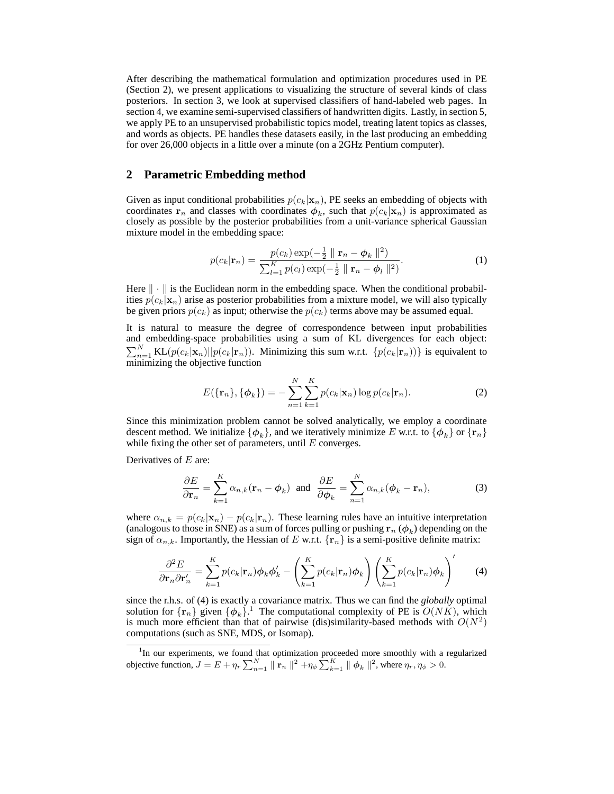After describing the mathematical formulation and optimization procedures used in PE (Section 2), we present applications to visualizing the structure of several kinds of class posteriors. In section 3, we look at supervised classifiers of hand-labeled web pages. In section 4, we examine semi-supervised classifiers of handwritten digits. Lastly, in section 5, we apply PE to an unsupervised probabilistic topics model, treating latent topics as classes, and words as objects. PE handles these datasets easily, in the last producing an embedding for over 26,000 objects in a little over a minute (on a 2GHz Pentium computer).

#### **2 Parametric Embedding method**

Given as input conditional probabilities  $p(c_k|\mathbf{x}_n)$ , PE seeks an embedding of objects with coordinates  $\mathbf{r}_n$  and classes with coordinates  $\phi_k$ , such that  $p(c_k|\mathbf{x}_n)$  is approximated as closely as possible by the posterior probabilities from a unit-variance spherical Gaussian mixture model in the embedding space:

$$
p(c_k|\mathbf{r}_n) = \frac{p(c_k) \exp(-\frac{1}{2} \| \mathbf{r}_n - \phi_k \|^2)}{\sum_{l=1}^K p(c_l) \exp(-\frac{1}{2} \| \mathbf{r}_n - \phi_l \|^2)}.
$$
 (1)

Here  $\|\cdot\|$  is the Euclidean norm in the embedding space. When the conditional probabilities  $p(c_k|\mathbf{x}_n)$  arise as posterior probabilities from a mixture model, we will also typically be given priors  $p(c_k)$  as input; otherwise the  $p(c_k)$  terms above may be assumed equal.

It is natural to measure the degree of correspondence between input probabilities and embedding-space probabilities using a sum of KL divergences for each object:  $\sum_{n=1}^{N}$  KL $(p(c_k|\mathbf{x}_n)||p(c_k|\mathbf{r}_n))$ . Minimizing this sum w.r.t.  $\{p(c_k|\mathbf{r}_n))\}$  is equivalent to minimizing the objective function

$$
E(\lbrace \mathbf{r}_n \rbrace, \lbrace \boldsymbol{\phi}_k \rbrace) = -\sum_{n=1}^N \sum_{k=1}^K p(c_k | \mathbf{x}_n) \log p(c_k | \mathbf{r}_n). \tag{2}
$$

Since this minimization problem cannot be solved analytically, we employ a coordinate descent method. We initialize  $\{\phi_k\}$ , and we iteratively minimize E w.r.t. to  $\{\phi_k\}$  or  $\{r_n\}$ while fixing the other set of parameters, until  $E$  converges.

Derivatives of  $E$  are:

$$
\frac{\partial E}{\partial \mathbf{r}_n} = \sum_{k=1}^K \alpha_{n,k} (\mathbf{r}_n - \boldsymbol{\phi}_k) \text{ and } \frac{\partial E}{\partial \boldsymbol{\phi}_k} = \sum_{n=1}^N \alpha_{n,k} (\boldsymbol{\phi}_k - \mathbf{r}_n), \tag{3}
$$

where  $\alpha_{n,k} = p(c_k|\mathbf{x}_n) - p(c_k|\mathbf{r}_n)$ . These learning rules have an intuitive interpretation (analogous to those in SNE) as a sum of forces pulling or pushing  $\mathbf{r}_n$  ( $\phi_k$ ) depending on the sign of  $\alpha_{n,k}$ . Importantly, the Hessian of E w.r.t.  $\{r_n\}$  is a semi-positive definite matrix:

$$
\frac{\partial^2 E}{\partial \mathbf{r}_n \partial \mathbf{r}'_n} = \sum_{k=1}^K p(c_k | \mathbf{r}_n) \phi_k \phi'_k - \left( \sum_{k=1}^K p(c_k | \mathbf{r}_n) \phi_k \right) \left( \sum_{k=1}^K p(c_k | \mathbf{r}_n) \phi_k \right)' \tag{4}
$$

since the r.h.s. of (4) is exactly a covariance matrix. Thus we can find the *globally* optimal solution for  $\{r_n\}$  given  $\{\phi_k\}$ .<sup>1</sup> The computational complexity of PE is  $O(NK)$ , which is much more efficient than that of pairwise (dis)similarity-based methods with  $O(N^2)$ computations (such as SNE, MDS, or Isomap).

<sup>&</sup>lt;sup>1</sup>In our experiments, we found that optimization proceeded more smoothly with a regularized objective function,  $J = E + \eta_r \sum_{n=1}^{N} || \mathbf{r}_n ||^2 + \eta_\phi \sum_{k=1}^{K} || \phi_k ||^2$ , where  $\eta_r, \eta_\phi > 0$ .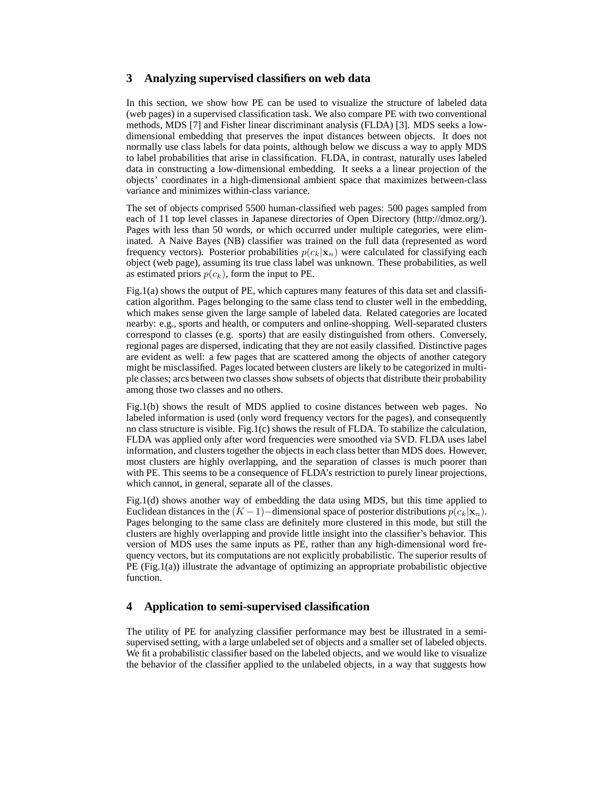## **3 Analyzing supervised classifiers on web data**

In this section, we show how PE can be used to visualize the structure of labeled data (web pages) in a supervised classification task. We also compare PE with two conventional methods, MDS [7] and Fisher linear discriminant analysis (FLDA) [3]. MDS seeks a lowdimensional embedding that preserves the input distances between objects. It does not normally use class labels for data points, although below we discuss a way to apply MDS to label probabilities that arise in classification. FLDA, in contrast, naturally uses labeled data in constructing a low-dimensional embedding. It seeks a a linear projection of the objects' coordinates in a high-dimensional ambient space that maximizes between-class variance and minimizes within-class variance.

The set of objects comprised 5500 human-classified web pages: 500 pages sampled from each of 11 top level classes in Japanese directories of Open Directory (http://dmoz.org/). Pages with less than 50 words, or which occurred under multiple categories, were eliminated. A Naive Bayes (NB) classifier was trained on the full data (represented as word frequency vectors). Posterior probabilities  $p(c_k|\mathbf{x}_n)$  were calculated for classifying each object (web page), assuming its true class label was unknown. These probabilities, as well as estimated priors  $p(c_k)$ , form the input to PE.

Fig.1(a) shows the output of PE, which captures many features of this data set and classification algorithm. Pages belonging to the same class tend to cluster well in the embedding, which makes sense given the large sample of labeled data. Related categories are located nearby: e.g., sports and health, or computers and online-shopping. Well-separated clusters correspond to classes (e.g. sports) that are easily distinguished from others. Conversely, regional pages are dispersed, indicating that they are not easily classified. Distinctive pages are evident as well: a few pages that are scattered among the objects of another category might be misclassified. Pages located between clusters are likely to be categorized in multiple classes; arcs between two classes show subsets of objects that distribute their probability among those two classes and no others.

Fig.1(b) shows the result of MDS applied to cosine distances between web pages. No labeled information is used (only word frequency vectors for the pages), and consequently no class structure is visible. Fig.1(c) shows the result of FLDA. To stabilize the calculation, FLDA was applied only after word frequencies were smoothed via SVD. FLDA uses label information, and clusters together the objects in each class better than MDS does. However, most clusters are highly overlapping, and the separation of classes is much poorer than with PE. This seems to be a consequence of FLDA's restriction to purely linear projections, which cannot, in general, separate all of the classes.

Fig.1(d) shows another way of embedding the data using MDS, but this time applied to Euclidean distances in the  $(K-1)$  –dimensional space of posterior distributions  $p(c_k|\mathbf{x}_n)$ . Pages belonging to the same class are definitely more clustered in this mode, but still the clusters are highly overlapping and provide little insight into the classifier's behavior. This version of MDS uses the same inputs as PE, rather than any high-dimensional word frequency vectors, but its computations are not explicitly probabilistic. The superior results of PE (Fig.1(a)) illustrate the advantage of optimizing an appropriate probabilistic objective function.

### **4 Application to semi-supervised classification**

The utility of PE for analyzing classifier performance may best be illustrated in a semisupervised setting, with a large unlabeled set of objects and a smaller set of labeled objects. We fit a probabilistic classifier based on the labeled objects, and we would like to visualize the behavior of the classifier applied to the unlabeled objects, in a way that suggests how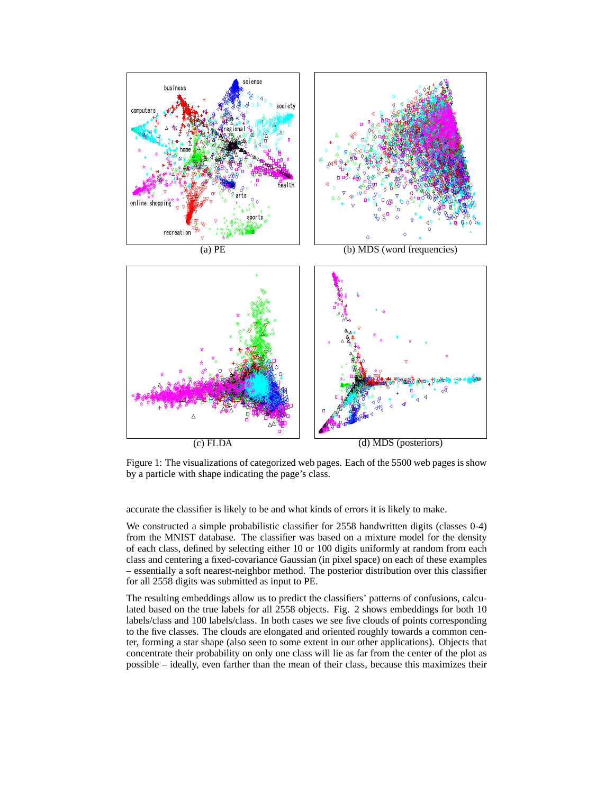

Figure 1: The visualizations of categorized web pages. Each of the 5500 web pages is show by a particle with shape indicating the page's class.

accurate the classifier is likely to be and what kinds of errors it is likely to make.

We constructed a simple probabilistic classifier for 2558 handwritten digits (classes 0-4) from the MNIST database. The classifier was based on a mixture model for the density of each class, defined by selecting either 10 or 100 digits uniformly at random from each class and centering a fixed-covariance Gaussian (in pixel space) on each of these examples – essentially a soft nearest-neighbor method. The posterior distribution over this classifier for all 2558 digits was submitted as input to PE.

The resulting embeddings allow us to predict the classifiers' patterns of confusions, calculated based on the true labels for all 2558 objects. Fig. 2 shows embeddings for both 10 labels/class and 100 labels/class. In both cases we see five clouds of points corresponding to the five classes. The clouds are elongated and oriented roughly towards a common center, forming a star shape (also seen to some extent in our other applications). Objects that concentrate their probability on only one class will lie as far from the center of the plot as possible – ideally, even farther than the mean of their class, because this maximizes their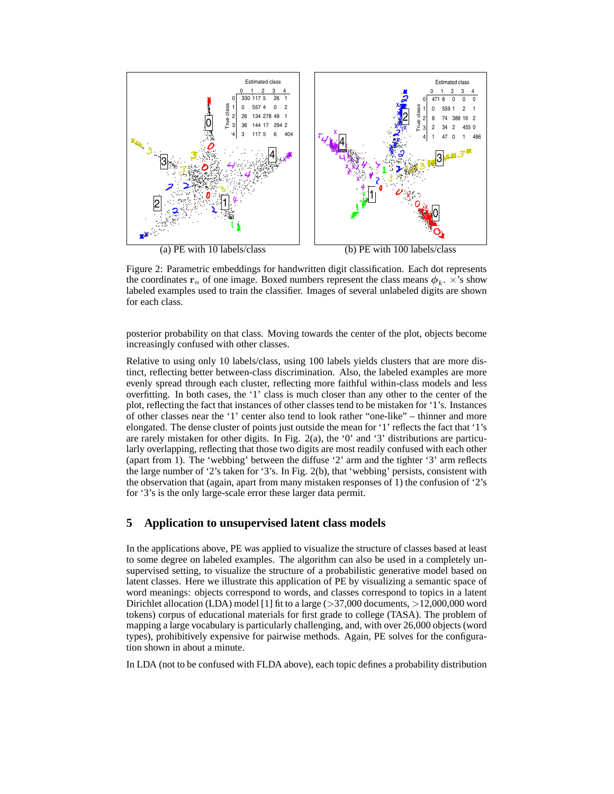

Figure 2: Parametric embeddings for handwritten digit classification. Each dot represents the coordinates  $\mathbf{r}_n$  of one image. Boxed numbers represent the class means  $\phi_k$ .  $\overrightarrow{\chi}$ 's show labeled examples used to train the classifier. Images of several unlabeled digits are shown for each class.

posterior probability on that class. Moving towards the center of the plot, objects become increasingly confused with other classes.

Relative to using only 10 labels/class, using 100 labels yields clusters that are more distinct, reflecting better between-class discrimination. Also, the labeled examples are more evenly spread through each cluster, reflecting more faithful within-class models and less overfitting. In both cases, the '1' class is much closer than any other to the center of the plot, reflecting the fact that instances of other classes tend to be mistaken for '1's. Instances of other classes near the '1' center also tend to look rather "one-like" – thinner and more elongated. The dense cluster of points just outside the mean for '1' reflects the fact that '1's are rarely mistaken for other digits. In Fig. 2(a), the '0' and '3' distributions are particularly overlapping, reflecting that those two digits are most readily confused with each other (apart from 1). The 'webbing' between the diffuse '2' arm and the tighter '3' arm reflects the large number of '2's taken for '3's. In Fig. 2(b), that 'webbing' persists, consistent with the observation that (again, apart from many mistaken responses of 1) the confusion of '2's for '3's is the only large-scale error these larger data permit.

# **5 Application to unsupervised latent class models**

In the applications above, PE was applied to visualize the structure of classes based at least to some degree on labeled examples. The algorithm can also be used in a completely unsupervised setting, to visualize the structure of a probabilistic generative model based on latent classes. Here we illustrate this application of PE by visualizing a semantic space of word meanings: objects correspond to words, and classes correspond to topics in a latent Dirichlet allocation (LDA) model [1] fit to a large  $(>\frac{37,000}{1000}$  documents,  $>12,000,000$  word tokens) corpus of educational materials for first grade to college (TASA). The problem of mapping a large vocabulary is particularly challenging, and, with over 26,000 objects (word types), prohibitively expensive for pairwise methods. Again, PE solves for the configuration shown in about a minute.

In LDA (not to be confused with FLDA above), each topic defines a probability distribution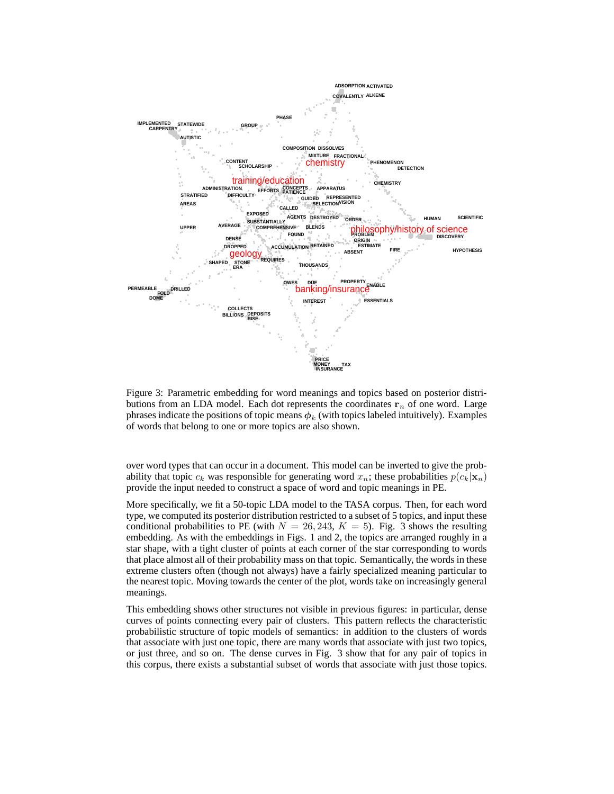

Figure 3: Parametric embedding for word meanings and topics based on posterior distributions from an LDA model. Each dot represents the coordinates  $r_n$  of one word. Large phrases indicate the positions of topic means  $\phi_k$  (with topics labeled intuitively). Examples of words that belong to one or more topics are also shown.

over word types that can occur in a document. This model can be inverted to give the probability that topic  $c_k$  was responsible for generating word  $x_n$ ; these probabilities  $p(c_k|\mathbf{x}_n)$ provide the input needed to construct a space of word and topic meanings in PE.

More specifically, we fit a 50-topic LDA model to the TASA corpus. Then, for each word type, we computed its posterior distribution restricted to a subset of 5 topics, and input these conditional probabilities to PE (with  $N = 26, 243, K = 5$ ). Fig. 3 shows the resulting embedding. As with the embeddings in Figs. 1 and 2, the topics are arranged roughly in a star shape, with a tight cluster of points at each corner of the star corresponding to words that place almost all of their probability mass on that topic. Semantically, the words in these extreme clusters often (though not always) have a fairly specialized meaning particular to the nearest topic. Moving towards the center of the plot, words take on increasingly general meanings.

This embedding shows other structures not visible in previous figures: in particular, dense curves of points connecting every pair of clusters. This pattern reflects the characteristic probabilistic structure of topic models of semantics: in addition to the clusters of words that associate with just one topic, there are many words that associate with just two topics, or just three, and so on. The dense curves in Fig. 3 show that for any pair of topics in this corpus, there exists a substantial subset of words that associate with just those topics.